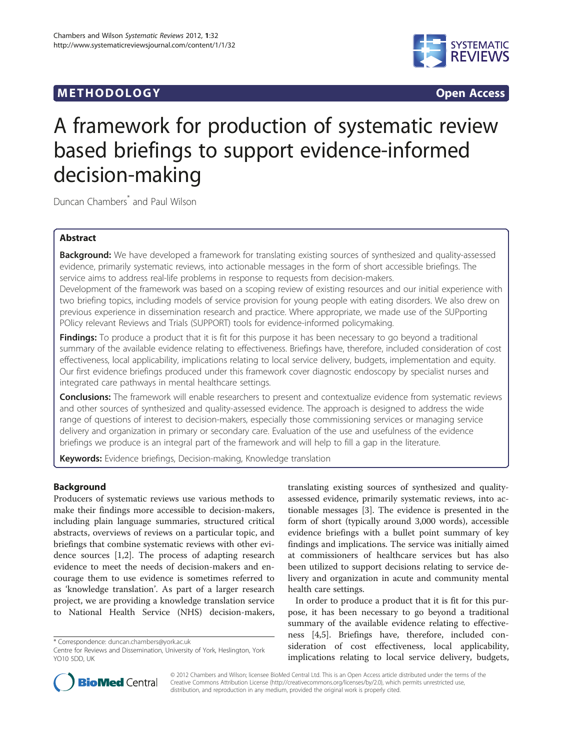# **METHODOLOGY CONSUMING ACCESS**



# A framework for production of systematic review based briefings to support evidence-informed decision-making

Duncan Chambers\* and Paul Wilson

# Abstract

Background: We have developed a framework for translating existing sources of synthesized and quality-assessed evidence, primarily systematic reviews, into actionable messages in the form of short accessible briefings. The service aims to address real-life problems in response to requests from decision-makers.

Development of the framework was based on a scoping review of existing resources and our initial experience with two briefing topics, including models of service provision for young people with eating disorders. We also drew on previous experience in dissemination research and practice. Where appropriate, we made use of the SUPporting POlicy relevant Reviews and Trials (SUPPORT) tools for evidence-informed policymaking.

**Findings:** To produce a product that it is fit for this purpose it has been necessary to go beyond a traditional summary of the available evidence relating to effectiveness. Briefings have, therefore, included consideration of cost effectiveness, local applicability, implications relating to local service delivery, budgets, implementation and equity. Our first evidence briefings produced under this framework cover diagnostic endoscopy by specialist nurses and integrated care pathways in mental healthcare settings.

Conclusions: The framework will enable researchers to present and contextualize evidence from systematic reviews and other sources of synthesized and quality-assessed evidence. The approach is designed to address the wide range of questions of interest to decision-makers, especially those commissioning services or managing service delivery and organization in primary or secondary care. Evaluation of the use and usefulness of the evidence briefings we produce is an integral part of the framework and will help to fill a gap in the literature.

Keywords: Evidence briefings, Decision-making, Knowledge translation

# Background

Producers of systematic reviews use various methods to make their findings more accessible to decision-makers, including plain language summaries, structured critical abstracts, overviews of reviews on a particular topic, and briefings that combine systematic reviews with other evidence sources [\[1,2](#page-7-0)]. The process of adapting research evidence to meet the needs of decision-makers and encourage them to use evidence is sometimes referred to as 'knowledge translation'. As part of a larger research project, we are providing a knowledge translation service to National Health Service (NHS) decision-makers,

\* Correspondence: [duncan.chambers@york.ac.uk](mailto:duncan.chambers@york.ac.uk)

translating existing sources of synthesized and qualityassessed evidence, primarily systematic reviews, into actionable messages [\[3\]](#page-7-0). The evidence is presented in the form of short (typically around 3,000 words), accessible evidence briefings with a bullet point summary of key findings and implications. The service was initially aimed at commissioners of healthcare services but has also been utilized to support decisions relating to service delivery and organization in acute and community mental health care settings.

In order to produce a product that it is fit for this purpose, it has been necessary to go beyond a traditional summary of the available evidence relating to effectiveness [\[4,5](#page-7-0)]. Briefings have, therefore, included consideration of cost effectiveness, local applicability, implications relating to local service delivery, budgets,



© 2012 Chambers and Wilson; licensee BioMed Central Ltd. This is an Open Access article distributed under the terms of the Creative Commons Attribution License (<http://creativecommons.org/licenses/by/2.0>), which permits unrestricted use, distribution, and reproduction in any medium, provided the original work is properly cited.

Centre for Reviews and Dissemination, University of York, Heslington, York YO10 5DD, UK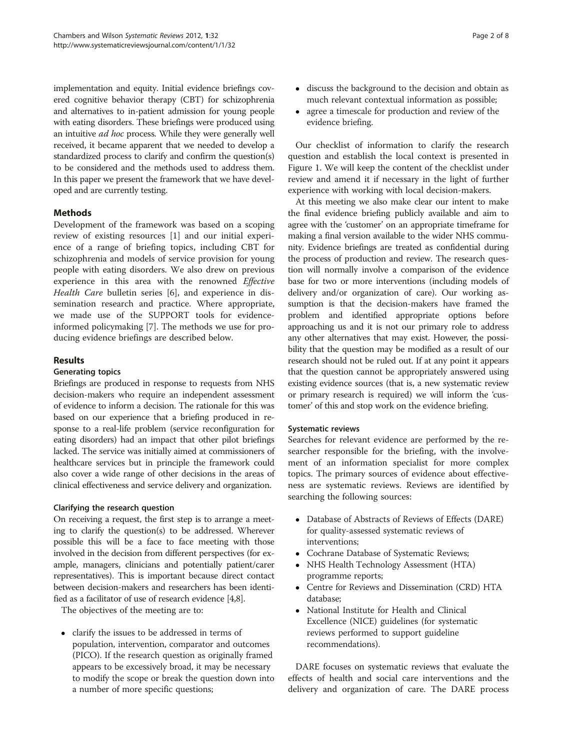implementation and equity. Initial evidence briefings covered cognitive behavior therapy (CBT) for schizophrenia and alternatives to in-patient admission for young people with eating disorders. These briefings were produced using an intuitive ad hoc process. While they were generally well received, it became apparent that we needed to develop a standardized process to clarify and confirm the question(s) to be considered and the methods used to address them. In this paper we present the framework that we have developed and are currently testing.

# Methods

Development of the framework was based on a scoping review of existing resources [[1\]](#page-7-0) and our initial experience of a range of briefing topics, including CBT for schizophrenia and models of service provision for young people with eating disorders. We also drew on previous experience in this area with the renowned Effective Health Care bulletin series [[6\]](#page-7-0), and experience in dissemination research and practice. Where appropriate, we made use of the SUPPORT tools for evidenceinformed policymaking [\[7](#page-7-0)]. The methods we use for producing evidence briefings are described below.

# Results

## Generating topics

Briefings are produced in response to requests from NHS decision-makers who require an independent assessment of evidence to inform a decision. The rationale for this was based on our experience that a briefing produced in response to a real-life problem (service reconfiguration for eating disorders) had an impact that other pilot briefings lacked. The service was initially aimed at commissioners of healthcare services but in principle the framework could also cover a wide range of other decisions in the areas of clinical effectiveness and service delivery and organization.

# Clarifying the research question

On receiving a request, the first step is to arrange a meeting to clarify the question(s) to be addressed. Wherever possible this will be a face to face meeting with those involved in the decision from different perspectives (for example, managers, clinicians and potentially patient/carer representatives). This is important because direct contact between decision-makers and researchers has been identified as a facilitator of use of research evidence [\[4,8](#page-7-0)].

The objectives of the meeting are to:

 clarify the issues to be addressed in terms of population, intervention, comparator and outcomes (PICO). If the research question as originally framed appears to be excessively broad, it may be necessary to modify the scope or break the question down into a number of more specific questions;

- discuss the background to the decision and obtain as much relevant contextual information as possible;
- agree a timescale for production and review of the evidence briefing.

Our checklist of information to clarify the research question and establish the local context is presented in Figure [1](#page-2-0). We will keep the content of the checklist under review and amend it if necessary in the light of further experience with working with local decision-makers.

At this meeting we also make clear our intent to make the final evidence briefing publicly available and aim to agree with the 'customer' on an appropriate timeframe for making a final version available to the wider NHS community. Evidence briefings are treated as confidential during the process of production and review. The research question will normally involve a comparison of the evidence base for two or more interventions (including models of delivery and/or organization of care). Our working assumption is that the decision-makers have framed the problem and identified appropriate options before approaching us and it is not our primary role to address any other alternatives that may exist. However, the possibility that the question may be modified as a result of our research should not be ruled out. If at any point it appears that the question cannot be appropriately answered using existing evidence sources (that is, a new systematic review or primary research is required) we will inform the 'customer' of this and stop work on the evidence briefing.

#### Systematic reviews

Searches for relevant evidence are performed by the researcher responsible for the briefing, with the involvement of an information specialist for more complex topics. The primary sources of evidence about effectiveness are systematic reviews. Reviews are identified by searching the following sources:

- Database of Abstracts of Reviews of Effects (DARE) for quality-assessed systematic reviews of interventions;
- Cochrane Database of Systematic Reviews;
- NHS Health Technology Assessment (HTA) programme reports;
- Centre for Reviews and Dissemination (CRD) HTA database;
- National Institute for Health and Clinical Excellence (NICE) guidelines (for systematic reviews performed to support guideline recommendations).

DARE focuses on systematic reviews that evaluate the effects of health and social care interventions and the delivery and organization of care. The DARE process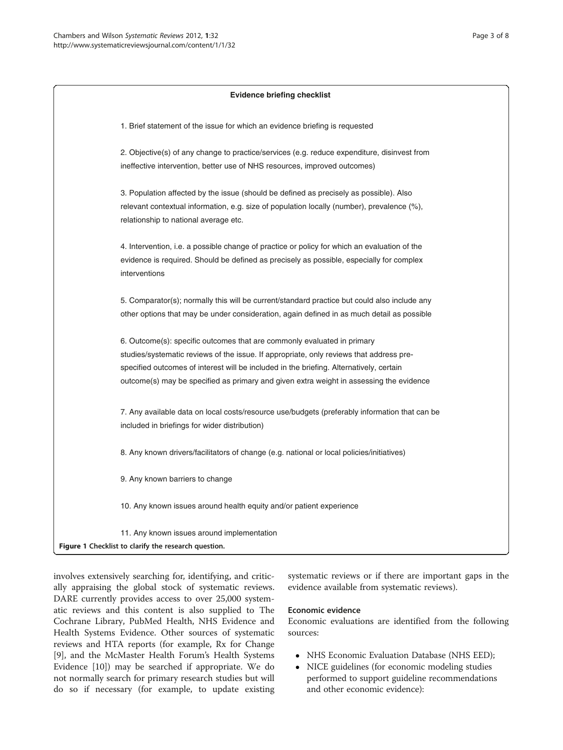<span id="page-2-0"></span>

| <b>Evidence briefing checklist</b> |                                                                                                                                                                                                                                                                                                                                                          |  |
|------------------------------------|----------------------------------------------------------------------------------------------------------------------------------------------------------------------------------------------------------------------------------------------------------------------------------------------------------------------------------------------------------|--|
|                                    | 1. Brief statement of the issue for which an evidence briefing is requested                                                                                                                                                                                                                                                                              |  |
|                                    | 2. Objective(s) of any change to practice/services (e.g. reduce expenditure, disinvest from<br>ineffective intervention, better use of NHS resources, improved outcomes)                                                                                                                                                                                 |  |
|                                    | 3. Population affected by the issue (should be defined as precisely as possible). Also<br>relevant contextual information, e.g. size of population locally (number), prevalence (%),<br>relationship to national average etc.                                                                                                                            |  |
|                                    | 4. Intervention, i.e. a possible change of practice or policy for which an evaluation of the<br>evidence is required. Should be defined as precisely as possible, especially for complex<br>interventions                                                                                                                                                |  |
|                                    | 5. Comparator(s); normally this will be current/standard practice but could also include any<br>other options that may be under consideration, again defined in as much detail as possible                                                                                                                                                               |  |
|                                    | 6. Outcome(s): specific outcomes that are commonly evaluated in primary<br>studies/systematic reviews of the issue. If appropriate, only reviews that address pre-<br>specified outcomes of interest will be included in the briefing. Alternatively, certain<br>outcome(s) may be specified as primary and given extra weight in assessing the evidence |  |
|                                    | 7. Any available data on local costs/resource use/budgets (preferably information that can be<br>included in briefings for wider distribution)                                                                                                                                                                                                           |  |
|                                    | 8. Any known drivers/facilitators of change (e.g. national or local policies/initiatives)                                                                                                                                                                                                                                                                |  |
|                                    | 9. Any known barriers to change                                                                                                                                                                                                                                                                                                                          |  |
|                                    | 10. Any known issues around health equity and/or patient experience                                                                                                                                                                                                                                                                                      |  |
|                                    | 11. Any known issues around implementation<br>Figure 1 Checklist to clarify the research question.                                                                                                                                                                                                                                                       |  |

involves extensively searching for, identifying, and critically appraising the global stock of systematic reviews. DARE currently provides access to over 25,000 systematic reviews and this content is also supplied to The Cochrane Library, PubMed Health, NHS Evidence and Health Systems Evidence. Other sources of systematic reviews and HTA reports (for example, Rx for Change [[9\]](#page-7-0), and the McMaster Health Forum's Health Systems Evidence [[10](#page-7-0)]) may be searched if appropriate. We do not normally search for primary research studies but will do so if necessary (for example, to update existing

systematic reviews or if there are important gaps in the evidence available from systematic reviews).

# Economic evidence

Economic evaluations are identified from the following sources:

- NHS Economic Evaluation Database (NHS EED);
- NICE guidelines (for economic modeling studies performed to support guideline recommendations and other economic evidence):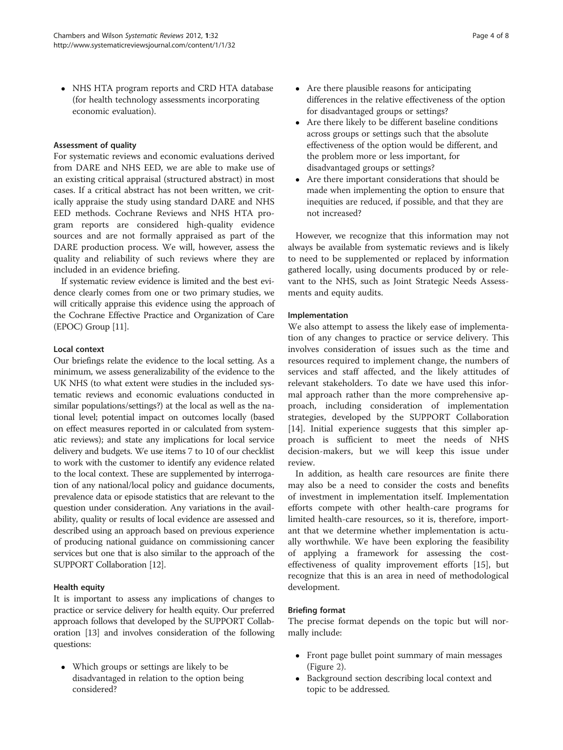• NHS HTA program reports and CRD HTA database (for health technology assessments incorporating economic evaluation).

## Assessment of quality

For systematic reviews and economic evaluations derived from DARE and NHS EED, we are able to make use of an existing critical appraisal (structured abstract) in most cases. If a critical abstract has not been written, we critically appraise the study using standard DARE and NHS EED methods. Cochrane Reviews and NHS HTA program reports are considered high-quality evidence sources and are not formally appraised as part of the DARE production process. We will, however, assess the quality and reliability of such reviews where they are included in an evidence briefing.

If systematic review evidence is limited and the best evidence clearly comes from one or two primary studies, we will critically appraise this evidence using the approach of the Cochrane Effective Practice and Organization of Care (EPOC) Group [[11](#page-7-0)].

## Local context

Our briefings relate the evidence to the local setting. As a minimum, we assess generalizability of the evidence to the UK NHS (to what extent were studies in the included systematic reviews and economic evaluations conducted in similar populations/settings?) at the local as well as the national level; potential impact on outcomes locally (based on effect measures reported in or calculated from systematic reviews); and state any implications for local service delivery and budgets. We use items 7 to 10 of our checklist to work with the customer to identify any evidence related to the local context. These are supplemented by interrogation of any national/local policy and guidance documents, prevalence data or episode statistics that are relevant to the question under consideration. Any variations in the availability, quality or results of local evidence are assessed and described using an approach based on previous experience of producing national guidance on commissioning cancer services but one that is also similar to the approach of the SUPPORT Collaboration [\[12](#page-7-0)].

# Health equity

It is important to assess any implications of changes to practice or service delivery for health equity. Our preferred approach follows that developed by the SUPPORT Collaboration [\[13](#page-7-0)] and involves consideration of the following questions:

 Which groups or settings are likely to be disadvantaged in relation to the option being considered?

- Are there plausible reasons for anticipating differences in the relative effectiveness of the option for disadvantaged groups or settings?
- Are there likely to be different baseline conditions across groups or settings such that the absolute effectiveness of the option would be different, and the problem more or less important, for disadvantaged groups or settings?
- Are there important considerations that should be made when implementing the option to ensure that inequities are reduced, if possible, and that they are not increased?

However, we recognize that this information may not always be available from systematic reviews and is likely to need to be supplemented or replaced by information gathered locally, using documents produced by or relevant to the NHS, such as Joint Strategic Needs Assessments and equity audits.

## Implementation

We also attempt to assess the likely ease of implementation of any changes to practice or service delivery. This involves consideration of issues such as the time and resources required to implement change, the numbers of services and staff affected, and the likely attitudes of relevant stakeholders. To date we have used this informal approach rather than the more comprehensive approach, including consideration of implementation strategies, developed by the SUPPORT Collaboration [[14\]](#page-7-0). Initial experience suggests that this simpler approach is sufficient to meet the needs of NHS decision-makers, but we will keep this issue under review.

In addition, as health care resources are finite there may also be a need to consider the costs and benefits of investment in implementation itself. Implementation efforts compete with other health-care programs for limited health-care resources, so it is, therefore, important that we determine whether implementation is actually worthwhile. We have been exploring the feasibility of applying a framework for assessing the costeffectiveness of quality improvement efforts [\[15\]](#page-7-0), but recognize that this is an area in need of methodological development.

## Briefing format

The precise format depends on the topic but will normally include:

- Front page bullet point summary of main messages (Figure [2\)](#page-4-0).
- Background section describing local context and topic to be addressed.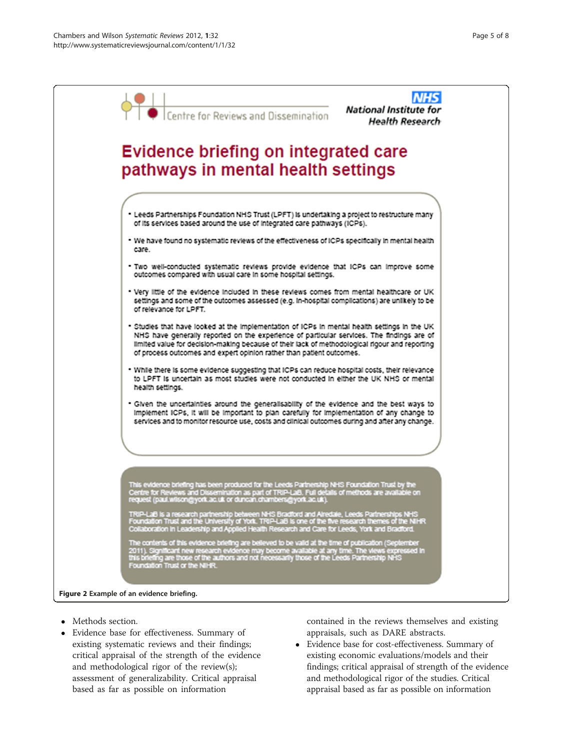<span id="page-4-0"></span>

- Methods section.
- Evidence base for effectiveness. Summary of existing systematic reviews and their findings; critical appraisal of the strength of the evidence and methodological rigor of the review(s); assessment of generalizability. Critical appraisal based as far as possible on information

contained in the reviews themselves and existing appraisals, such as DARE abstracts.

 Evidence base for cost-effectiveness. Summary of existing economic evaluations/models and their findings; critical appraisal of strength of the evidence and methodological rigor of the studies. Critical appraisal based as far as possible on information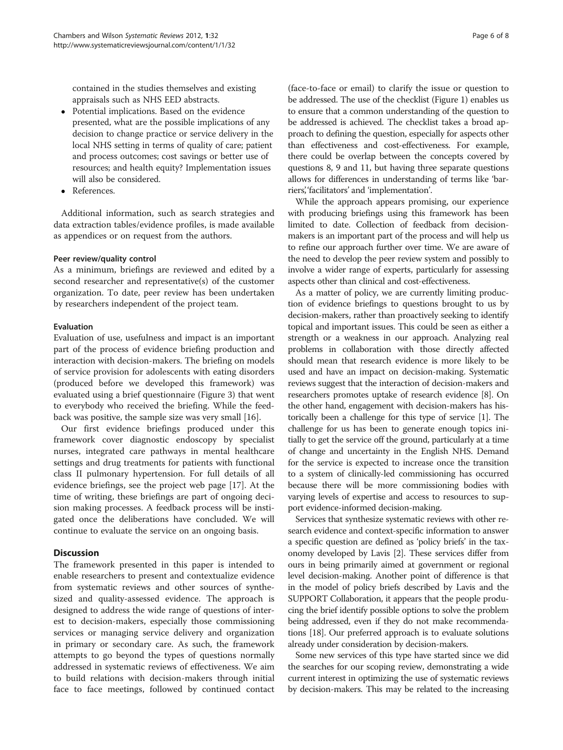contained in the studies themselves and existing appraisals such as NHS EED abstracts.

- Potential implications. Based on the evidence presented, what are the possible implications of any decision to change practice or service delivery in the local NHS setting in terms of quality of care; patient and process outcomes; cost savings or better use of resources; and health equity? Implementation issues will also be considered.
- References.

Additional information, such as search strategies and data extraction tables/evidence profiles, is made available as appendices or on request from the authors.

#### Peer review/quality control

As a minimum, briefings are reviewed and edited by a second researcher and representative(s) of the customer organization. To date, peer review has been undertaken by researchers independent of the project team.

## Evaluation

Evaluation of use, usefulness and impact is an important part of the process of evidence briefing production and interaction with decision-makers. The briefing on models of service provision for adolescents with eating disorders (produced before we developed this framework) was evaluated using a brief questionnaire (Figure [3\)](#page-6-0) that went to everybody who received the briefing. While the feedback was positive, the sample size was very small [\[16\]](#page-7-0).

Our first evidence briefings produced under this framework cover diagnostic endoscopy by specialist nurses, integrated care pathways in mental healthcare settings and drug treatments for patients with functional class II pulmonary hypertension. For full details of all evidence briefings, see the project web page [[17](#page-7-0)]. At the time of writing, these briefings are part of ongoing decision making processes. A feedback process will be instigated once the deliberations have concluded. We will continue to evaluate the service on an ongoing basis.

# **Discussion**

The framework presented in this paper is intended to enable researchers to present and contextualize evidence from systematic reviews and other sources of synthesized and quality-assessed evidence. The approach is designed to address the wide range of questions of interest to decision-makers, especially those commissioning services or managing service delivery and organization in primary or secondary care. As such, the framework attempts to go beyond the types of questions normally addressed in systematic reviews of effectiveness. We aim to build relations with decision-makers through initial face to face meetings, followed by continued contact

(face-to-face or email) to clarify the issue or question to be addressed. The use of the checklist (Figure [1](#page-2-0)) enables us to ensure that a common understanding of the question to be addressed is achieved. The checklist takes a broad approach to defining the question, especially for aspects other than effectiveness and cost-effectiveness. For example, there could be overlap between the concepts covered by questions 8, 9 and 11, but having three separate questions allows for differences in understanding of terms like 'barriers','facilitators' and 'implementation'.

While the approach appears promising, our experience with producing briefings using this framework has been limited to date. Collection of feedback from decisionmakers is an important part of the process and will help us to refine our approach further over time. We are aware of the need to develop the peer review system and possibly to involve a wider range of experts, particularly for assessing aspects other than clinical and cost-effectiveness.

As a matter of policy, we are currently limiting production of evidence briefings to questions brought to us by decision-makers, rather than proactively seeking to identify topical and important issues. This could be seen as either a strength or a weakness in our approach. Analyzing real problems in collaboration with those directly affected should mean that research evidence is more likely to be used and have an impact on decision-making. Systematic reviews suggest that the interaction of decision-makers and researchers promotes uptake of research evidence [\[8](#page-7-0)]. On the other hand, engagement with decision-makers has historically been a challenge for this type of service [\[1\]](#page-7-0). The challenge for us has been to generate enough topics initially to get the service off the ground, particularly at a time of change and uncertainty in the English NHS. Demand for the service is expected to increase once the transition to a system of clinically-led commissioning has occurred because there will be more commissioning bodies with varying levels of expertise and access to resources to support evidence-informed decision-making.

Services that synthesize systematic reviews with other research evidence and context-specific information to answer a specific question are defined as 'policy briefs' in the taxonomy developed by Lavis [\[2](#page-7-0)]. These services differ from ours in being primarily aimed at government or regional level decision-making. Another point of difference is that in the model of policy briefs described by Lavis and the SUPPORT Collaboration, it appears that the people producing the brief identify possible options to solve the problem being addressed, even if they do not make recommendations [\[18\]](#page-7-0). Our preferred approach is to evaluate solutions already under consideration by decision-makers.

Some new services of this type have started since we did the searches for our scoping review, demonstrating a wide current interest in optimizing the use of systematic reviews by decision-makers. This may be related to the increasing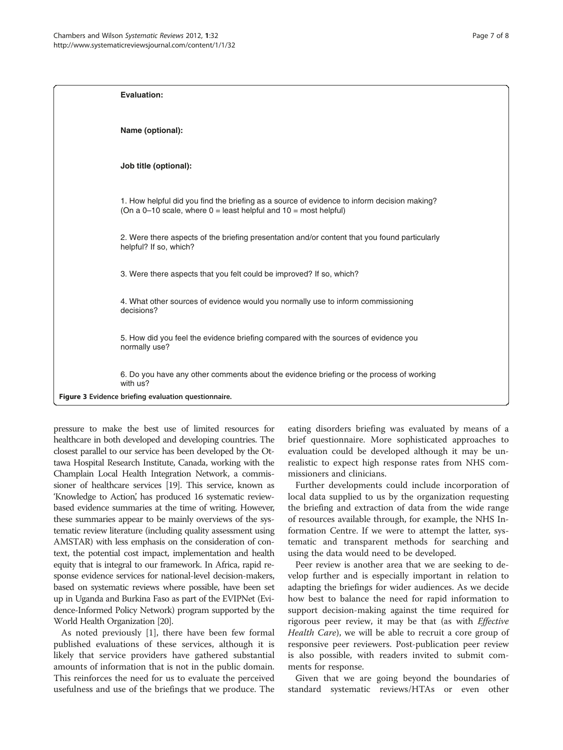<span id="page-6-0"></span>

|                                                      | <b>Evaluation:</b>                                                                                                                                                  |  |
|------------------------------------------------------|---------------------------------------------------------------------------------------------------------------------------------------------------------------------|--|
|                                                      | Name (optional):                                                                                                                                                    |  |
|                                                      | Job title (optional):                                                                                                                                               |  |
|                                                      | 1. How helpful did you find the briefing as a source of evidence to inform decision making?<br>(On a 0–10 scale, where $0 =$ least helpful and $10 =$ most helpful) |  |
|                                                      | 2. Were there aspects of the briefing presentation and/or content that you found particularly<br>helpful? If so, which?                                             |  |
|                                                      | 3. Were there aspects that you felt could be improved? If so, which?                                                                                                |  |
|                                                      | 4. What other sources of evidence would you normally use to inform commissioning<br>decisions?                                                                      |  |
|                                                      | 5. How did you feel the evidence briefing compared with the sources of evidence you<br>normally use?                                                                |  |
|                                                      | 6. Do you have any other comments about the evidence briefing or the process of working<br>with us?                                                                 |  |
| Figure 3 Evidence briefing evaluation questionnaire. |                                                                                                                                                                     |  |

pressure to make the best use of limited resources for healthcare in both developed and developing countries. The closest parallel to our service has been developed by the Ottawa Hospital Research Institute, Canada, working with the Champlain Local Health Integration Network, a commissioner of healthcare services [\[19\]](#page-7-0). This service, known as 'Knowledge to Action, has produced 16 systematic review- ' based evidence summaries at the time of writing. However, these summaries appear to be mainly overviews of the systematic review literature (including quality assessment using AMSTAR) with less emphasis on the consideration of context, the potential cost impact, implementation and health equity that is integral to our framework. In Africa, rapid response evidence services for national-level decision-makers, based on systematic reviews where possible, have been set up in Uganda and Burkina Faso as part of the EVIPNet (Evidence-Informed Policy Network) program supported by the World Health Organization [\[20\]](#page-7-0).

As noted previously [\[1](#page-7-0)], there have been few formal published evaluations of these services, although it is likely that service providers have gathered substantial amounts of information that is not in the public domain. This reinforces the need for us to evaluate the perceived usefulness and use of the briefings that we produce. The eating disorders briefing was evaluated by means of a brief questionnaire. More sophisticated approaches to evaluation could be developed although it may be unrealistic to expect high response rates from NHS commissioners and clinicians.

Further developments could include incorporation of local data supplied to us by the organization requesting the briefing and extraction of data from the wide range of resources available through, for example, the NHS Information Centre. If we were to attempt the latter, systematic and transparent methods for searching and using the data would need to be developed.

Peer review is another area that we are seeking to develop further and is especially important in relation to adapting the briefings for wider audiences. As we decide how best to balance the need for rapid information to support decision-making against the time required for rigorous peer review, it may be that (as with *Effective* Health Care), we will be able to recruit a core group of responsive peer reviewers. Post-publication peer review is also possible, with readers invited to submit comments for response.

Given that we are going beyond the boundaries of standard systematic reviews/HTAs or even other